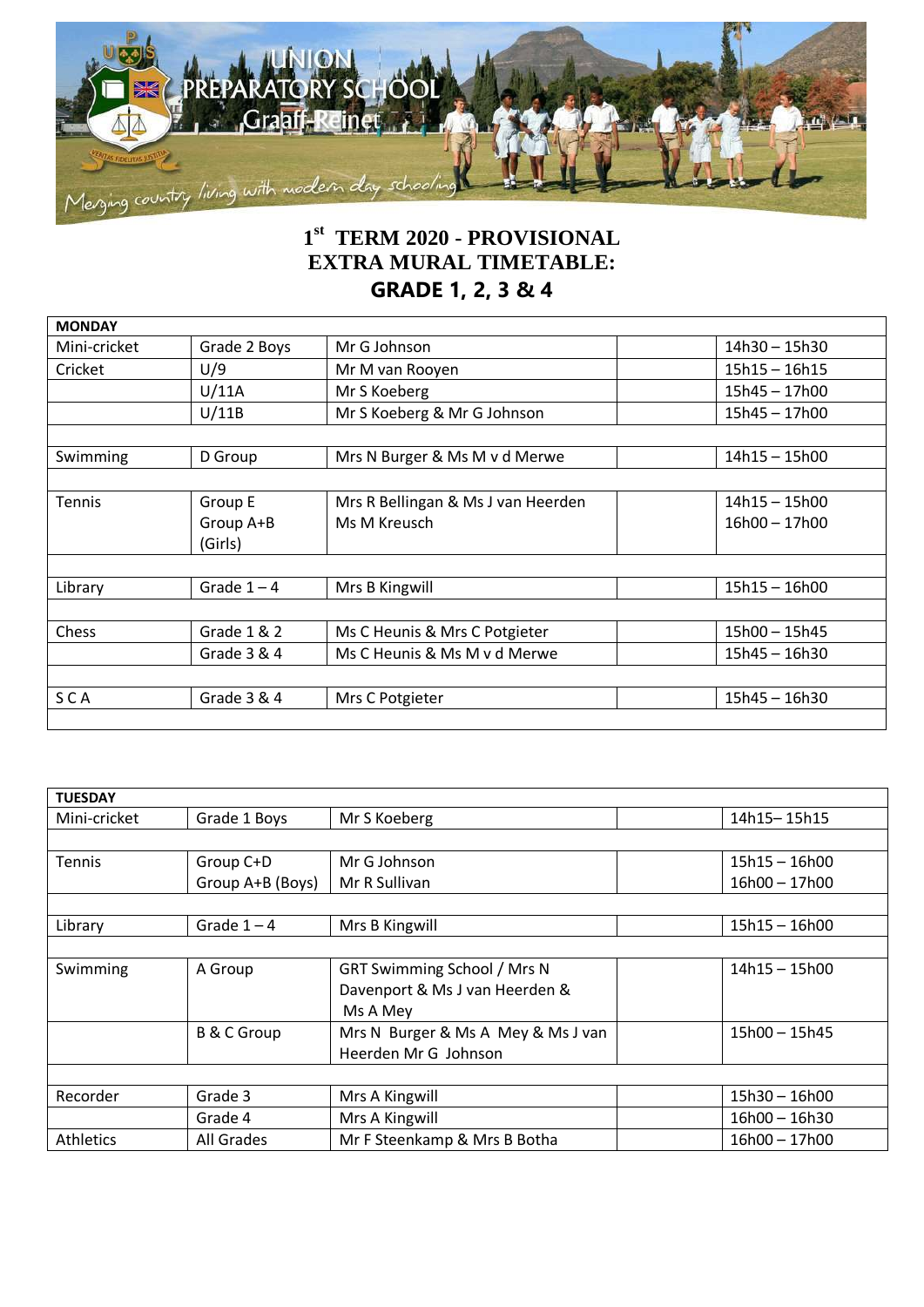

## **1 st TERM 2020 - PROVISIONAL EXTRA MURAL TIMETABLE: GRADE 1, 2, 3 & 4**

| Mini-cricket  | Grade 2 Boys  | Mr G Johnson                       | 14h30 - 15h30   |
|---------------|---------------|------------------------------------|-----------------|
|               |               |                                    |                 |
| Cricket       | U/9           | Mr M van Rooyen                    | $15h15 - 16h15$ |
|               | U/11A         | Mr S Koeberg                       | $15h45 - 17h00$ |
|               | U/11B         | Mr S Koeberg & Mr G Johnson        | 15h45 - 17h00   |
|               |               |                                    |                 |
| Swimming      | D Group       | Mrs N Burger & Ms M v d Merwe      | 14h15 - 15h00   |
|               |               |                                    |                 |
| <b>Tennis</b> | Group E       | Mrs R Bellingan & Ms J van Heerden | 14h15 - 15h00   |
|               | Group A+B     | Ms M Kreusch                       | $16h00 - 17h00$ |
|               | (Girls)       |                                    |                 |
|               |               |                                    |                 |
| Library       | Grade $1 - 4$ | Mrs B Kingwill                     | $15h15 - 16h00$ |
|               |               |                                    |                 |
| Chess         | Grade 1 & 2   | Ms C Heunis & Mrs C Potgieter      | 15h00 - 15h45   |
|               | Grade 3 & 4   | Ms C Heunis & Ms M v d Merwe       | 15h45 - 16h30   |
|               |               |                                    |                 |
|               |               | Mrs C Potgieter                    | $15h45 - 16h30$ |

| <b>TUESDAY</b> |                        |                                    |                 |
|----------------|------------------------|------------------------------------|-----------------|
| Mini-cricket   | Grade 1 Boys           | Mr S Koeberg                       | 14h15-15h15     |
|                |                        |                                    |                 |
| <b>Tennis</b>  | Group C+D              | Mr G Johnson                       | 15h15 - 16h00   |
|                | Group A+B (Boys)       | Mr R Sullivan                      | 16h00 - 17h00   |
|                |                        |                                    |                 |
| Library        | Grade $1 - 4$          | Mrs B Kingwill                     | $15h15 - 16h00$ |
|                |                        |                                    |                 |
| Swimming       | A Group                | GRT Swimming School / Mrs N        | $14h15 - 15h00$ |
|                |                        | Davenport & Ms J van Heerden &     |                 |
|                |                        | Ms A Mey                           |                 |
|                | <b>B &amp; C Group</b> | Mrs N Burger & Ms A Mey & Ms J van | 15h00 - 15h45   |
|                |                        | Heerden Mr G Johnson               |                 |
|                |                        |                                    |                 |
| Recorder       | Grade 3                | Mrs A Kingwill                     | 15h30 - 16h00   |
|                | Grade 4                | Mrs A Kingwill                     | 16h00 - 16h30   |
| Athletics      | All Grades             | Mr F Steenkamp & Mrs B Botha       | 16h00 - 17h00   |